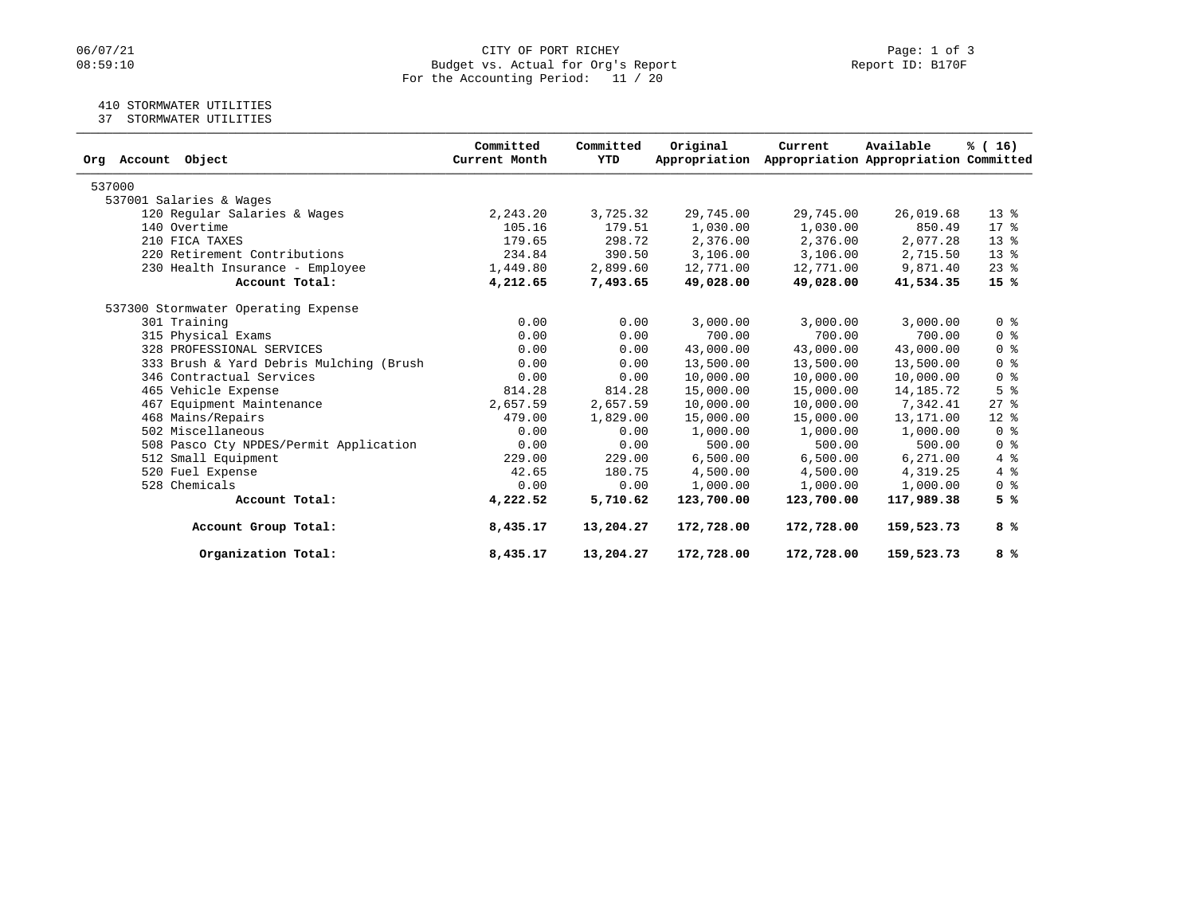# 06/07/21 CITY OF PORT RICHEY Page: 1 of 3<br>08:59:10 Budget vs. Actual for Org's Report Page: 1 Of 3 Budget vs. Actual for Org's Report For the Accounting Period: 11 / 20

# 410 STORMWATER UTILITIES

37 STORMWATER UTILITIES

| Org Account Object                      | Committed<br>Current Month | Committed<br>YTD | Original<br>Appropriation | Current    | Available<br>Appropriation Appropriation Committed | % (16)                             |
|-----------------------------------------|----------------------------|------------------|---------------------------|------------|----------------------------------------------------|------------------------------------|
| 537000                                  |                            |                  |                           |            |                                                    |                                    |
| 537001 Salaries & Wages                 |                            |                  |                           |            |                                                    |                                    |
| 120 Regular Salaries & Wages            | 2,243.20                   | 3,725.32         | 29,745.00                 | 29,745.00  | 26,019.68                                          | $13*$                              |
| 140 Overtime                            | 105.16                     | 179.51           | 1,030.00                  | 1,030.00   | 850.49                                             | $17*$                              |
| 210 FICA TAXES                          | 179.65                     | 298.72           | 2,376.00                  | 2,376.00   | 2,077.28                                           | $13*$                              |
| 220 Retirement Contributions            | 234.84                     | 390.50           | 3,106.00                  | 3,106.00   | 2,715.50                                           | $13*$                              |
| 230 Health Insurance - Employee         | 1,449.80                   | 2,899.60         | 12,771.00                 | 12,771.00  | 9,871.40                                           | $23$ %                             |
| Account Total:                          | 4,212.65                   | 7,493.65         | 49,028.00                 | 49,028.00  | 41,534.35                                          | 15%                                |
| 537300 Stormwater Operating Expense     |                            |                  |                           |            |                                                    |                                    |
| 301 Training                            | 0.00                       | 0.00             | 3,000.00                  | 3,000.00   | 3,000.00                                           | 0 <sup>8</sup>                     |
| 315 Physical Exams                      | 0.00                       | 0.00             | 700.00                    | 700.00     | 700.00                                             | 0 <sup>8</sup>                     |
| 328 PROFESSIONAL SERVICES               | 0.00                       | 0.00             | 43,000.00                 | 43,000.00  | 43,000.00                                          | 0 <sup>8</sup>                     |
| 333 Brush & Yard Debris Mulching (Brush | 0.00                       | 0.00             | 13,500.00                 | 13,500.00  | 13,500.00                                          | 0 <sup>8</sup>                     |
| 346 Contractual Services                | 0.00                       | 0.00             | 10,000.00                 | 10,000.00  | 10,000.00                                          | 0 <sup>8</sup>                     |
| 465 Vehicle Expense                     | 814.28                     | 814.28           | 15,000.00                 | 15,000.00  | 14,185.72                                          | 5 <sup>8</sup>                     |
| 467 Equipment Maintenance               | 2,657.59                   | 2,657.59         | 10,000.00                 | 10,000.00  | 7,342.41                                           | $27$ %                             |
| 468 Mains/Repairs                       | 479.00                     | 1,829.00         | 15,000.00                 | 15,000.00  | 13,171.00                                          | $12*$                              |
| 502 Miscellaneous                       | 0.00                       | 0.00             | 1,000.00                  | 1,000.00   | 1,000.00                                           | 0 <sup>8</sup>                     |
| 508 Pasco Cty NPDES/Permit Application  | 0.00                       | 0.00             | 500.00                    | 500.00     | 500.00                                             | $0 \text{ }$ $\text{ }$ $\text{ }$ |
| 512 Small Equipment                     | 229.00                     | 229.00           | 6,500.00                  | 6,500.00   | 6, 271.00                                          | 4%                                 |
| 520 Fuel Expense                        | 42.65                      | 180.75           | 4,500.00                  | 4,500.00   | 4,319.25                                           | 4%                                 |
| 528 Chemicals                           | 0.00                       | 0.00             | 1,000.00                  | 1,000.00   | 1,000.00                                           | 0 <sup>8</sup>                     |
| Account Total:                          | 4,222.52                   | 5,710.62         | 123,700.00                | 123,700.00 | 117,989.38                                         | 5%                                 |
| Account Group Total:                    | 8,435.17                   | 13,204.27        | 172,728.00                | 172,728.00 | 159,523.73                                         | 8 %                                |
| Organization Total:                     | 8,435.17                   | 13,204.27        | 172,728.00                | 172,728.00 | 159,523.73                                         | 8 %                                |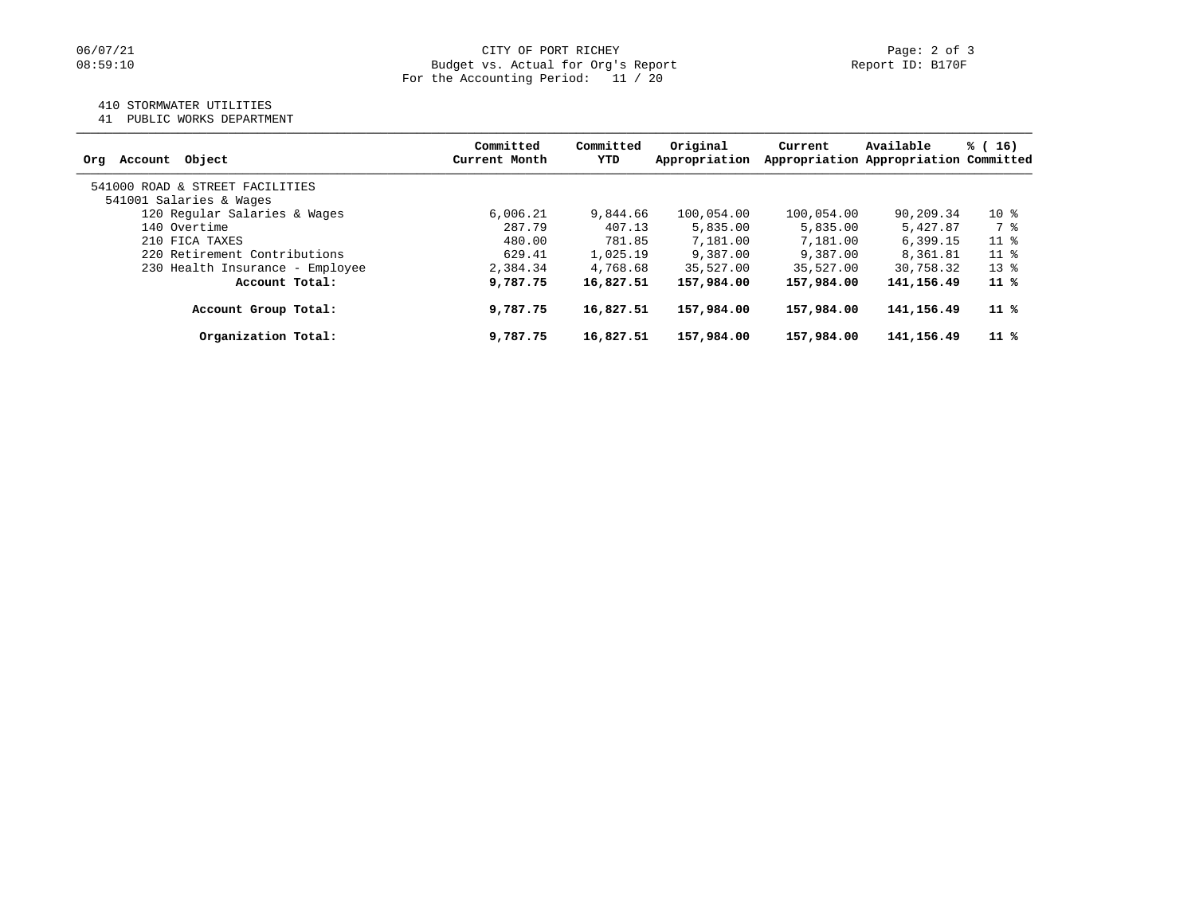### 410 STORMWATER UTILITIES

41 PUBLIC WORKS DEPARTMENT

| Account Object<br>Orq           | Committed<br>Current Month | Committed<br>YTD | Original<br>Appropriation | Current    | Available<br>Appropriation Appropriation Committed | % (16) |
|---------------------------------|----------------------------|------------------|---------------------------|------------|----------------------------------------------------|--------|
| 541000 ROAD & STREET FACILITIES |                            |                  |                           |            |                                                    |        |
| 541001 Salaries & Wages         |                            |                  |                           |            |                                                    |        |
| 120 Regular Salaries & Wages    | 6.006.21                   | 9,844.66         | 100,054.00                | 100,054.00 | 90,209.34                                          | $10*$  |
| 140 Overtime                    | 287.79                     | 407.13           | 5,835.00                  | 5,835.00   | 5,427.87                                           | 7 %    |
| 210 FICA TAXES                  | 480.00                     | 781.85           | 7,181.00                  | 7,181.00   | 6, 399.15                                          | $11$ % |
| 220 Retirement Contributions    | 629.41                     | 1,025.19         | 9,387.00                  | 9,387.00   | 8,361.81                                           | $11*$  |
| 230 Health Insurance - Employee | 2,384.34                   | 4,768.68         | 35,527.00                 | 35,527.00  | 30,758.32                                          | $13*$  |
| Account Total:                  | 9,787.75                   | 16,827.51        | 157,984.00                | 157,984.00 | 141, 156, 49                                       | 11 %   |
| Account Group Total:            | 9,787.75                   | 16,827.51        | 157,984.00                | 157,984.00 | 141,156.49                                         | 11 %   |
| Organization Total:             | 9,787.75                   | 16,827.51        | 157,984.00                | 157,984.00 | 141,156.49                                         | 11 %   |